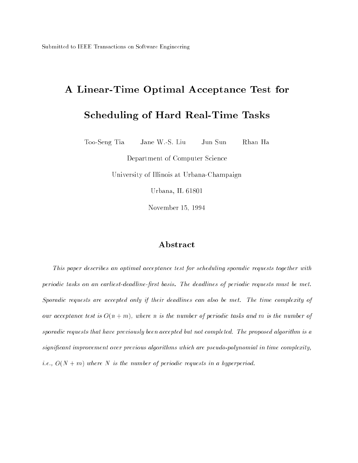# A Linear-Time Optimal Acceptance Test for

## Scheduling of Hard Real-Time Tasks

Too-SengJane W.-S. Liu Jun Sun Rhan Ha

Department of Computer Science

University of Indians at Urbana-Champaign at Urbana-Champaign

Urbana, IL 61801

november 15, 1994 - 1995 - 1996 - 1997 - 1998 - 1998 - 1999 - 1994 - 1994 - 1994 - 1994 - 1994 - 1994 - 1994 -

## Abstract

This paper describes an optimal acceptance test for scheduling sporadic requests together with periodic tasks on an earliest-deadline-first basis. The deadlines of periodic requests must be met. Sporadic requests are accepted only if their deadlines can also be met. The time complexity of our acceptance test is  $O(n + m)$ , where n is the number of periodic tasks and m is the number of sporadic requests that have previously been accepted but not completed. The proposed algorithm is a signicant improvement over previous algorithms which are pseudo-polynomial in time complexity, *i.e.*,  $O(N + m)$  where N is the number of periodic requests in a hyperperiod.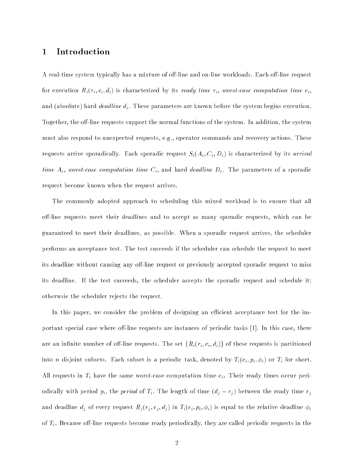## 1 Introduction

A real-time system typically has a mixture of off-line and on-line workloads. Each off-line request for execution  $R_i(r_i, c_i, d_i)$  is characterized by its ready time  $r_i$ , worst-case computation time  $c_i$ , and (absolute) hard *deadline d<sub>i</sub>*. These parameters are known before the system begins execution. Together, the off-line requests support the normal functions of the system. In addition, the system must also respond to unexpected requests, e.g., operator commands and recovery actions. These requests arrive sporadically. Each sporadic request  $S_i(A_i, C_i, D_i)$  is characterized by its *arrival* time  $A_i$ , worst-case computation time  $C_i$ , and hard deadline  $D_i$ . The parameters of a sporadic request become known when the request arrives.

The commonly adopted approach to scheduling this mixed workload is to ensure that all off-line requests meet their deadlines and to accept as many sporadic requests, which can be guaranteed to meet their deadlines, as possible. When a sporadic request arrives, the scheduler performs an acceptance test. The test succeeds if the scheduler can schedule the request to meet its deadline without causing any off-line request or previously accepted sporadic request to miss its deadline. If the test succeeds, the scheduler accepts the sporadic request and schedule it; otherwsie the scheduler rejects the request.

In this paper, we consider the problem of designing an efficient acceptance test for the important special case where off-line requests are instances of periodic tasks  $[1]$ . In this case, there are an infinite number of off-line requests. The set  $\{R_i(r_i, c_i, d_i)\}\$  of these requests is partitioned into *n* disjoint subsets. Each subset is a periodic task, denoted by  $T_i(c_i, p_i, \phi_i)$  or  $T_i$  for short. All requests in  $T_i$  have the same worst-case computation time  $c_i$ . Their ready times occur periodically with period  $p_i$ , the *period* of  $T_i$ . The length of time  $(d_j - r_j)$  between the ready time  $r_j$ and deadline  $d_j$  of every request  $R_j(r_j, c_j, d_j)$  in  $T_i(c_i, p_i, \phi_i)$  is equal to the relative deadline  $\phi_i$ of  $T_i$ . Because off-line requests become ready periodically, they are called periodic requests in the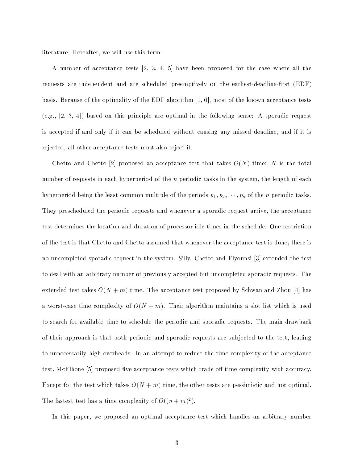literature. Hereafter, we will use this term.

A number of acceptance tests [2, 3, 4, 5] have been proposed for the case where all the requests are independent and are scheduled preemptively on the earliest-deadline-first (EDF) basis. Because of the optimality of the EDF algorithm [1, 6], most of the known acceptance tests (e.g., [2, 3, 4]) based on this principle are optimal in the following sense: A sporadic request is accepted if and only if it can be scheduled without causing any missed deadline, and if it is rejected, all other acceptance tests must also reject it.

Chetto and Chetto [2] proposed an acceptance test that takes  $O(N)$  time: N is the total number of requests in each hyperperiod of the  $n$  periodic tasks in the system, the length of each hyperperiod being the least common multiple of the periods  $p_1, p_2, \dots, p_n$  of the *n* periodic tasks. They prescheduled the periodic requests and whenever a sporadic request arrive, the acceptance test determines the location and duration of processor idle times in the schedule. One restriction of the test is that Chetto and Chetto assumed that whenever the acceptance test is done, there is no uncompleted sporadic request in the system. Silly, Chetto and Elyounsi [3] extended the test to deal with an arbitrary number of previously accepted but uncompleted sporadic requests. The extended test takes  $O(N + m)$  time. The acceptance test proposed by Schwan and Zhou [4] has a worst-case time complexity of  $O(N + m)$ . Their algorithm maintains a slot list which is used to search for available time to schedule the periodic and sporadic requests. The main drawback of their approach is that both periodic and sporadic requests are sub jected to the test, leading to unnecessarily high overheads. In an attempt to reduce the time complexity of the acceptance test, McElhone [5] proposed five acceptance tests which trade off time complexity with accuracy. Except for the test which takes  $O(N + m)$  time, the other tests are pessimistic and not optimal. The fastest test has a time complexity of  $O((n+m)^2)$ .

In this paper, we proposed an optimal acceptance test which handles an arbitrary number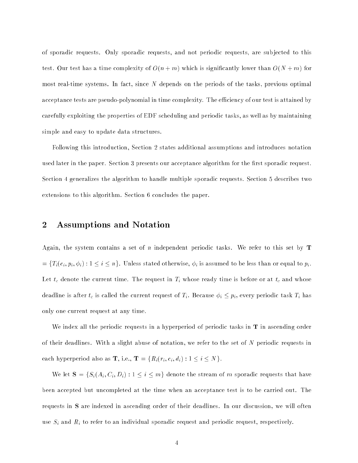of sporadic requests. Only sporadic requests, and not periodic requests, are sub jected to this test. Our test has a time complexity of  $O(n+m)$  which is significantly lower than  $O(N+m)$  for most real-time systems. In fact, since  $N$  depends on the periods of the tasks, previous optimal acceptance tests are pseudo-polynomial in time complexity. The efficiency of our test is attained by carefully exploiting the properties of EDF scheduling and periodic tasks, as well as by maintaining simple and easy to update data structures.

Following this introduction, Section 2 states additional assumptions and introduces notation used later in the paper. Section 3 presents our acceptance algorithm for the first sporadic request. Section 4 generalizes the algorithm to handle multiple sporadic requests. Section 5 describes two extensions to this algorithm. Section 6 concludes the paper.

## 2 Assumptions and Notation

Again, the system contains a set of n independent periodic tasks. We refer to this set by  $T$  $=\{T_i(c_i, p_i, \phi_i): 1 \leq i \leq n\}.$  Unless stated otherwise,  $\phi_i$  is assumed to be less than or equal to  $p_i$ . Let  $t_c$  denote the current time. The request in  $T_i$  whose ready time is before or at  $t_c$  and whose deadline is after  $t_c$  is called the current request of  $T_i$ . Because  $\phi_i \leq p_i$ , every periodic task  $T_i$  has only one current request at any time.

We index all the periodic requests in a hyperperiod of periodic tasks in  ${\bf T}$  in ascending order of their deadlines. With a slight abuse of notation, we refer to the set of  $N$  periodic requests in each hyperperiod also as **T**, i.e., **T** = { $R_i(r_i, c_i, d_i)$  :  $1 \leq i \leq N$  }.

We let  $S = \{S_i(A_i, C_i, D_i) : 1 \le i \le m\}$  denote the stream of m sporadic requests that have been accepted but uncompleted at the time when an acceptance test is to be carried out. The requests in <sup>S</sup> are indexed in ascending order of their deadlines. In our discussion, we will often use  $S_i$  and  $R_i$  to refer to an individual sporadic request and periodic request, respectively.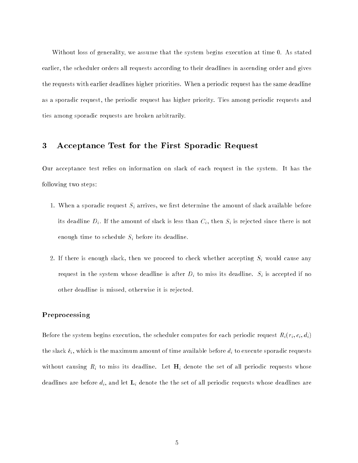Without loss of generality, we assume that the system begins execution at time 0. As stated earlier, the scheduler orders all requests according to their deadlines in ascending order and gives the requests with earlier deadlines higher priorities. When a periodic request has the same deadline as a sporadic request, the periodic request has higher priority. Ties among periodic requests and ties among sporadic requests are broken arbitrarily.

## 3 Acceptance Test for the First Sporadic Request

Our acceptance test relies on information on slack of each request in the system. It has the following two steps:

- 1. When a sporadic request  $S_i$  arrives, we first determine the amount of slack available before its deadline  $D_i$ . If the amount of slack is less than  $C_i$ , then  $S_i$  is rejected since there is not enough time to schedule  $S_i$  before its deadline.
- 2. If there is enough slack, then we proceed to check whether accepting  $S_i$  would cause any request in the system whose deadline is after  $D_i$  to miss its deadline.  $S_i$  is accepted if no other deadline is missed, otherwise it is rejected.

#### Preprocessing

Before the system begins execution, the scheduler computes for each periodic request  $R_i(r_i, c_i, d_i)$ the slack  $\delta_i$ , which is the maximum amount of time available before  $d_i$  to execute sporadic requests without causing  $R_i$  to miss its deadline. Let  $H_i$  denote the set of all periodic requests whose deadlines are before  $d_i$ , and let  $\mathbf{L}_i$  denote the the set of all periodic requests whose deadlines are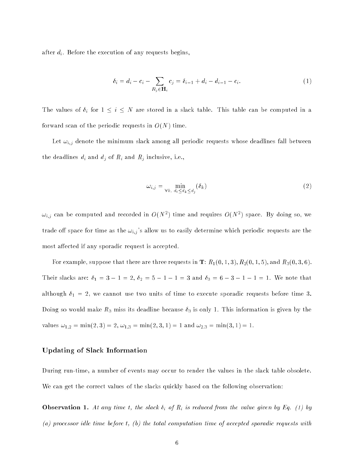after  $d_i$ . Before the execution of any requests begins,

$$
\delta_i = d_i - c_i - \sum_{R_j \in \mathbf{H}_i} c_j = \delta_{i-1} + d_i - d_{i-1} - c_i.
$$
\n(1)

The values of  $\delta_i$  for  $1 \leq i \leq N$  are stored in a slack table. This table can be computed in a forward scan of the periodic requests in  $O(N)$  time.

Let  $\omega_{i,j}$  denote the minimum slack among all periodic requests whose deadlines fall between the deadlines  $d_i$  and  $d_j$  of  $R_i$  and  $R_j$  inclusive, i.e.,

$$
\omega_{i,j} = \min_{\forall k, d_i \le d_k \le d_j} (\delta_k) \tag{2}
$$

 $\omega_{i,j}$  can be computed and recorded in  $O(N^2)$  time and requires  $O(N^2)$  space. By doing so, we trade off space for time as the  $\omega_{i,j}$ 's allow us to easily determine which periodic requests are the most affected if any sporadic request is accepted.

For example, suppose that there are three requests in  $\mathbf{T}\colon R_1(0,1,3), R_2(0,1,5),$  and  $R_3(0,3,6).$ Their slacks are:  $\delta_1 = 3 - 1 = 2$ ,  $\delta_2 = 5 - 1 - 1 = 3$  and  $\delta_3 = 6 - 3 - 1 - 1 = 1$ . We note that although  $\delta_1 = 2$ , we cannot use two units of time to execute sporadic requests before time 3. Doing so would make  $R_3$  miss its deadline because  $\delta_3$  is only 1. This information is given by the values  $\omega_{1,2} = \min(2,3) = 2, \omega_{1,3} = \min(2,3,1) = 1$  and  $\omega_{2,3} = \min(3,1) = 1$ .

#### Updating of Slack Information

During run-time, a number of events may occur to render the values in the slack table obsolete. We can get the correct values of the slacks quickly based on the following observation:

**Observation 1.** At any time t, the slack  $\delta_i$  of  $R_i$  is reduced from the value given by Eq. (1) by (a) processor idle time before t, (b) the total computation time of accepted sporadic requests with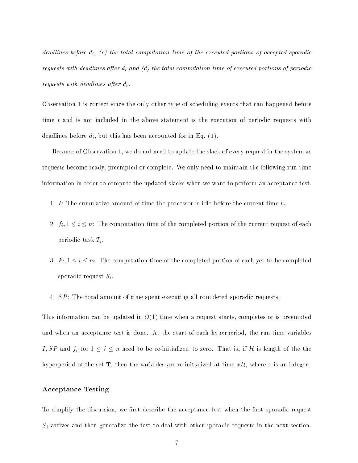deadlines before  $d_i$ , (c) the total computation time of the executed portions of accepted sporadic requests with deadlines after  $d_i$  and (d) the total computation time of executed portions of periodic requests with deadlines after  $d_i$ .

Observation 1 is correct since the only other type of scheduling events that can happened before time t and is not included in the above statement is the execution of periodic requests with deadlines before  $d_i$ , but this has been accounted for in Eq. (1).

Because of Observation 1, we do not need to update the slack of every request in the system as requests become ready, preempted or complete. We only need to maintain the following run-time information in order to compute the updated slacks when we want to perform an acceptance test.

- 1. I: The cumulative amount of time the processor is idle before the current time  $t_c$ .
- 2.  $f_i, 1 \leq i \leq n$ : The computation time of the completed portion of the current request of each periodic task  $T_i$ .
- 3.  $F_i$ ,  $1 \le i \le m$ : The computation time of the completed portion of each yet-to-be-completed sporadic request  $S_i$ .
- 4. SP: The total amount of time spent executing all completed sporadic requests.

This information can be updated in  $O(1)$  time when a request starts, completes or is preempted and when an acceptance test is done. At the start of each hyperperiod, the run-time variables I, SP and  $f_i$ , for  $1 \leq i \leq n$  need to be re-initialized to zero. That is, if H is length of the the hyperperiod of the set  $T$ , then the variables are re-initialized at time  $x\mathcal{H}$ , where x is an integer.

#### Acceptance Testing

To simplify the discussion, we first describe the acceptance test when the first sporadic request  $S_1$  arrives and then generalize the test to deal with other sporadic requests in the next section.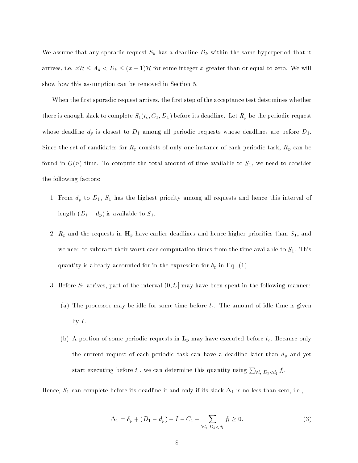We assume that any sporadic request  $S_k$  has a deadline  $D_k$  within the same hyperperiod that it arrives, i.e.  $x\mathcal{H} \leq A_k < D_k \leq (x+1)\mathcal{H}$  for some integer x greater than or equal to zero. We will show how this assumption can be removed in Section 5.

When the first sporadic request arrives, the first step of the acceptance test determines whether there is enough slack to complete  $S_1(t_c, C_1, D_1)$  before its deadline. Let  $R_p$  be the periodic request whose deadline  $d_p$  is closest to  $D_1$  among all periodic requests whose deadlines are before  $D_1$ . Since the set of candidates for  $R_p$  consists of only one instance of each periodic task,  $R_p$  can be found in  $O(n)$  time. To compute the total amount of time available to  $S_1$ , we need to consider the following factors:

- 1. From  $d_p$  to  $D_1$ ,  $S_1$  has the highest priority among all requests and hence this interval of length  $(D_1 - d_p)$  is available to  $S_1$ .
- 2.  $R_p$  and the requests in  $H_p$  have earlier deadlines and hence higher priorities than  $S_1$ , and we need to subtract their worst-case computation times from the time available to  $S_1$ . This quantity is already accounted for in the expression for  $\delta_p$  in Eq. (1).
- 3. Before  $S_1$  arrives, part of the interval  $(0, t_c]$  may have been spent in the following manner:
	- (a) The processor may be idle for some time before  $t_c$ . The amount of idle time is given by  $I$ .
	- (b) A portion of some periodic requests in  $L_p$  may have executed before  $t_c$ . Because only the current request of each periodic task can have a deadline later than  $d_p$  and yet start executing before  $t_c,$  we can determine this quantity using  $\sum_{\forall l, \; D_1 < d_l} f_l.$

Hence,  $S_1$  can complete before its deadline if and only if its slack  $\Delta_1$  is no less than zero, i.e.,

$$
\Delta_1 = \delta_p + (D_1 - d_p) - I - C_1 - \sum_{\forall l, D_1 < d_l} f_l \ge 0. \tag{3}
$$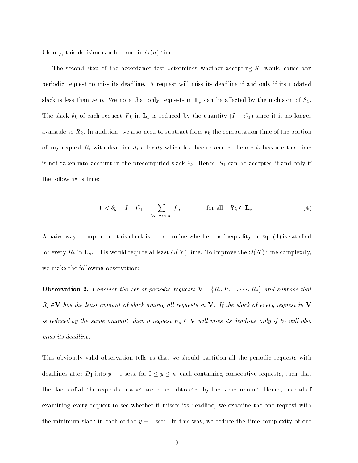Clearly, this decision can be done in  $O(n)$  time.

The second step of the acceptance test determines whether accepting  $S_1$  would cause any periodic request to miss its deadline. A request will miss its deadline if and only if its updated slack is less than zero. We note that only requests in  $\mathbf{L}_p$  can be affected by the inclusion of  $S_1$ . The slack  $\delta_k$  of each request  $R_k$  in  $\mathbf{L}_p$  is reduced by the quantity  $(I + C_1)$  since it is no longer available to  $R_k$ . In addition, we also need to subtract from  $\delta_k$  the computation time of the portion of any request  $R_i$  with deadline  $d_i$  after  $d_k$  which has been executed before  $t_c$  because this time is not taken into account in the precomputed slack  $\delta_k$ . Hence,  $S_1$  can be accepted if and only if the following is true:

$$
0 < \delta_k - I - C_1 - \sum_{\forall l, d_k < d_l} f_l, \qquad \text{for all} \quad R_k \in \mathbf{L}_p. \tag{4}
$$

A naive way to implement this check is to determine whether the inequality in Eq. (4) is satised for every  $R_k$  in  $\mathbf{L}_p$ . This would require at least  $O(N)$  time. To improve the  $O(N)$  time complexity, we make the following observation:

**Observation 2.** Consider the set of periodic requests  $\mathbf{V} = \{R_i, R_{i+1}, \dots, R_j\}$  and suppose that  $R_l \in V$  has the least amount of slack among all requests in V. If the slack of every request in V is reduced by the same amount, then a request  $R_k \in \mathbf{V}$  will miss its deadline only if  $R_l$  will also miss its deadline.

This obviously valid observation tells us that we should partition all the periodic requests with deadlines after  $D_1$  into  $y + 1$  sets, for  $0 \le y \le n$ , each containing consecutive requests, such that the slacks of all the requests in a set are to be subtracted by the same amount. Hence, instead of examining every request to see whether it misses its deadline, we examine the one request with the minimum slack in each of the  $y + 1$  sets. In this way, we reduce the time complexity of our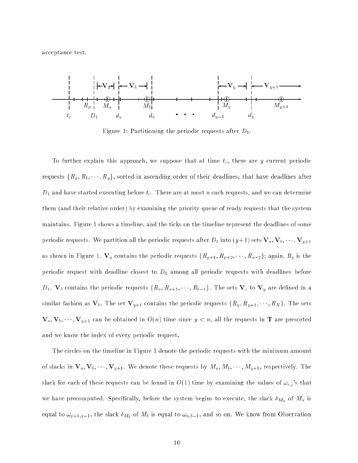acceptance test.



Figure 1: Partitioning the periodic requests after  $D_1$ .

To further explain this approach, we suppose that at time  $t_c$ , there are  $y$  current periodic requests  $\{R_a, R_b, \dots, R_y\}$ , sorted in ascending order of their deadlines, that have deadlines after  $D_1$  and have started executing before  $t_c$  . There are at most  $n$  such requests, and we can determine them (and their relative order) by examining the priority queue of ready requests that the system maintains. Figure 1 shows a timeline, and the ticks on the timeline represent the deadlines of some periodic requests. We partition all the periodic requests after  $D_1$  into  $(y+1)$  sets  $V_a$ ,  $V_b$ ,  $\cdots$ ,  $V_{y+1}$ as shown in Figure 1.  $V_a$  contains the periodic requests  $\{R_{p+1}, R_{p+2}, \dots, R_{a-1}\}$ ; again,  $R_p$  is the periodic request with deadline closest to  $D_1$  among all periodic requests with deadlines before  $D_1$ .  $\mathbf{V}_b$  contains the periodic requests  $\{R_a, R_{a+1}, \dots, R_{b-1}\}$ . The sets  $\mathbf{V}_c$  to  $\mathbf{V}_y$  are defined in a similar fashion as  $V_b$ . The set  $V_{y+1}$  contains the periodic requests  $\{R_y, R_{y+1}, \dots, R_N\}$ . The sets  $\mathbf{V}_a, \mathbf{V}_b, \dots, \mathbf{V}_{y+1}$  can be obtained in  $O(n)$  time since  $y < n$ , all the requests in **T** are presorted and we know the index of every periodic request.

The circles on the timeline in Figure 1 denote the periodic requests with the minimum amount of slacks in  $\mathbf{V}_a$ ,  $\mathbf{V}_b$ ,  $\dots$ ,  $\mathbf{V}_{y+1}$ . We denote these requests by  $M_a$ ,  $M_b$ ,  $\dots$ ,  $M_{y+1}$ , respectively. The slack for each of these requests can be found in  $O(1)$  time by examining the values of  $\omega_{i,j}$ 's that we have precomputed. Specifically, before the system begins to execute, the slack  $\delta_{M_a}$  of  $M_a$  is equal to  $\omega_{p+1,a-1}$ , the slack  $\delta_{M_b}$  of  $M_b$  is equal to  $\omega_{a,b-1}$ , and so on. We know from Observation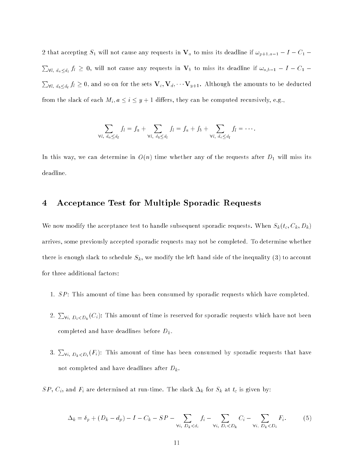2 that accepting  $S_1$  will not cause any requests in  $\mathbf{V}_a$  to miss its deadline if  $\omega_{p+1,a-1} - I - C_1$ **Programs**  $\forall l, \, d_a <_{d_l} f_l \, \geq \, 0, \text{ will not cause any requests in } \, {\bf V}_b$  to miss its deadline if  $\omega_{a,b-1} \, - \, I - C_1 \, - \, 0$ **Property**  $\bm{\mathsf{v}}_{l,~d_b\leq d_l}~f_l\geq 0,$  and so on for the sets  $\mathbf{V}_c,\mathbf{V}_d,\cdots\mathbf{V}_{y+1}.$  Although the amounts to be deducted from the slack of each  $M_i, a \leq i \leq y + 1$  differs, they can be computed recursively, e.g.,

$$
\sum_{\forall l, d_a \leq d_l} f_l = f_a + \sum_{\forall l, d_b \leq d_l} f_l = f_a + f_b + \sum_{\forall l, d_c \leq d_l} f_l = \cdots.
$$

In this way, we can determine in  $O(n)$  time whether any of the requests after  $D_1$  will miss its deadline.

## 4 Acceptance Test for Multiple Sporadic Requests

We now modify the acceptance test to handle subsequent sporadic requests. When  $S_k(t_c, C_k, D_k)$ arrives, some previously accepted sporadic requests may not be completed. To determine whether there is enough slack to schedule  $S_k$ , we modify the left hand side of the inequality (3) to account for three additional factors:

- 1.  $SP:$  This amount of time has been consumed by sporadic requests which have completed.
- 2.  $\sum_{\forall i, \; D_i < D_k}(C_i)$ : This amount of time is reserved for sporadic requests which have not been completed and have deadlines before  $D_k$ .
- 3.  $\sum_{\forall i, \ D_k < D_i}(F_i)$ : This amount of time has been consumed by sporadic requests that have not completed and have deadlines after  $D_k$ .
- $SP, C_i$ , and  $F_i$  are determined at run-time. The slack  $\Delta_k$  for  $S_k$  at  $t_c$  is given by:

$$
\Delta_k = \delta_p + (D_k - d_p) - I - C_k - SP - \sum_{\forall i, D_k < d_i} f_i - \sum_{\forall i, D_i < D_k} C_i - \sum_{\forall i, D_k < D_i} F_i. \tag{5}
$$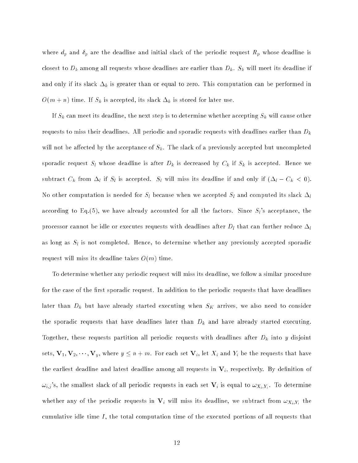where  $d_p$  and  $\delta_p$  are the deadline and initial slack of the periodic request  $R_p$  whose deadline is closest to  $D_k$  among all requests whose deadlines are earlier than  $D_k$ .  $S_k$  will meet its deadline if and only if its slack  $\Delta_k$  is greater than or equal to zero. This computation can be performed in  $O(m + n)$  time. If  $S_k$  is accepted, its slack  $\Delta_k$  is stored for later use.

If  $S_k$  can meet its deadline, the next step is to determine whether accepting  $S_k$  will cause other requests to miss their deadlines. All periodic and sporadic requests with deadlines earlier than  $D_k$ will not be affected by the acceptance of  $S_k$ . The slack of a previously accepted but uncompleted sporadic request  $S_l$  whose deadline is after  $D_k$  is decreased by  $C_k$  if  $S_k$  is accepted. Hence we subtract  $C_k$  from  $\Delta_l$  if  $S_l$  is accepted.  $S_l$  will miss its deadline if and only if  $(\Delta_l - C_k < 0)$ . No other computation is needed for  $S_l$  because when we accepted  $S_l$  and computed its slack  $\Delta_l$ according to Eq.(5), we have already accounted for all the factors. Since  $S_l$ 's acceptance, the processor cannot be idle or executes requests with deadlines after  $D_l$  that can further reduce  $\Delta_l$ as long as  $S_l$  is not completed. Hence, to determine whether any previously accepted sporadic request will miss its deadline takes  $O(m)$  time.

To determine whether any periodic request will miss its deadline, we follow a similar procedure for the case of the first sporadic request. In addition to the periodic requests that have deadlines later than  $D_k$  but have already started executing when  $S_K$  arrives, we also need to consider the sporadic requests that have deadlines later than  $D_k$  and have already started executing. Together, these requests partition all periodic requests with deadlines after  $D_k$  into y disjoint sets,  $\mathbf{V}_1, \mathbf{V}_2, \dots, \mathbf{V}_y$ , where  $y \le n + m$ . For each set  $\mathbf{V}_i$ , let  $X_i$  and  $Y_i$  be the requests that have the earliest deadline and latest deadline among all requests in  $V_i$ , respectively. By definition of  $\omega_{i,j}$ 's, the smallest slack of all periodic requests in each set  ${\bf V}_i$  is equal to  $\omega_{X_i,Y_i}$ . To determine whether any of the periodic requests in  $V_i$  will miss its deadline, we subtract from  $\omega_{X_i,Y_i}$  the cumulative idle time  $I$ , the total computation time of the executed portions of all requests that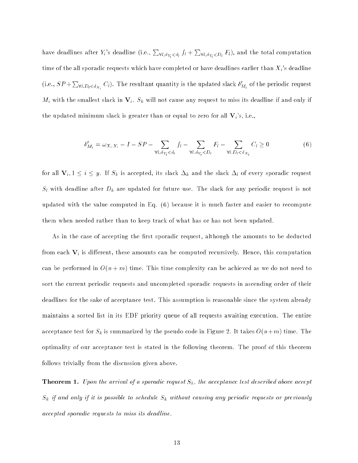have deadlines after  $Y_i$ 's deadline (i.e.,  $\sum_{\forall l,d_{Y_i} < d_l} f_l + \sum_{\forall l,d_{Y_i} < D_l} F_l),$  and the total computation time of the all sporadic requests which have completed or have deadlines earlier than  $X_i$ 's deadline (i.e.,  $SP+\sum_{\forall l, D_l < d_{X_i}} C_l$ ). The resultant quantity is the updated slack  $\delta'_{M_i}$  of the periodic request  $M_i$  with the smallest slack in  $\mathbf{V}_i$ .  $S_k$  will not cause any request to miss its deadline if and only if the updated minimum slack is greater than or equal to zero for all  $V_i$ 's, i.e.,

$$
\delta'_{M_i} = \omega_{X_i, Y_i} - I - SP - \sum_{\forall l, d_{Y_i} < d_l} f_l - \sum_{\forall l, d_{Y_i} < D_l} F_l - \sum_{\forall l, D_l < d_{X_i}} C_l \ge 0 \tag{6}
$$

for all  $V_i, 1 \le i \le y$ . If  $S_k$  is accepted, its slack  $\Delta_k$  and the slack  $\Delta_l$  of every sporadic request  $S_l$  with deadline after  $D_k$  are updated for future use. The slack for any periodic request is not updated with the value computed in Eq. (6) because it is much faster and easier to recompute them when needed rather than to keep track of what has or has not been updated.

As in the case of accepting the first sporadic request, although the amounts to be deducted from each  $V_i$  is different, these amounts can be computed recursively. Hence, this computation can be performed in  $O(n + m)$  time. This time complexity can be achieved as we do not need to sort the current periodic requests and uncompleted sporadic requests in ascending order of their deadlines for the sake of acceptance test. This assumption is reasonable since the system already maintains a sorted list in its EDF priority queue of all requests awaiting execution. The entire acceptance test for  $S_k$  is summarized by the pseudo code in Figure 2. It takes  $O(n+m)$  time. The optimality of our acceptance test is stated in the following theorem. The proof of this theorem follows trivially from the discussion given above.

**Theorem 1.** Upon the arrival of a sporadic request  $S_k$ , the acceptance test described above accept  $S_k$  if and only if it is possible to schedule  $S_k$  without causing any periodic requests or previously accepted sporadic requests to miss its deadline.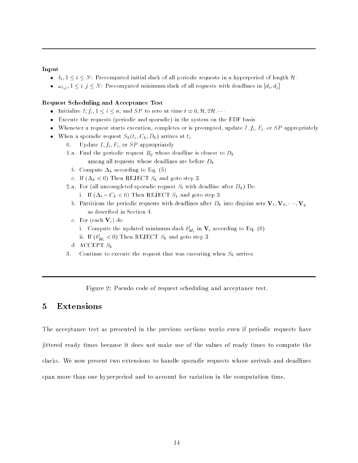#### Input

- $\delta_i, 1 \leq i \leq N$ : Precomputed initial slack of all periodic requests in a hyperperiod of length H.
- $\omega_{i,j}$ ,  $1 \leq i,j \leq N$ : Precomputed minimum slack of all requests with deadlines in  $[d_i, d_j]$

#### Request Scheduling and Acceptance Test

- Initialize  $I; f_i, 1 \leq i \leq n$ ; and SP to zero at time  $t = 0, H, 2H, \cdots$
- Execute the requests (periodic and sporadic) in the system on the EDF basis
- Whenever a request starts execution, completes or is preempted, update  $I, f_i, F_i$ , or  $SP$  appropriately
- When a sporadic request  $S_k(t_c, C_k, D_k)$  arrives at  $t_c$ 
	- 0. Update  $I, f_i, F_i$ , or  $SP$  appropriately
	- 1.a. Find the periodic request  $R_p$  whose deadline is closest to  $D_k$ among all requests whose deadlines are before  $D_k$ 
		- b. Compute  $\Delta_k$  according to Eq. (5)
		- c. If  $(\Delta_k < 0)$  Then REJECT  $S_k$  and goto step 3
	- 2.a. For (all uncompleted sporadic request  $S_l$  with deadline after  $D_k$ ) Do
		- i. If  $(\Delta_l C_k < 0)$  Then REJECT  $S_k$  and goto step 3
		- b. Partitions the periodic requests with deadlines after  $D_k$  into disjoint sets  $V_1, V_2, \dots, V_y$ as described in Section 4.
		- c. For (each  $\mathbf{V}_i$ ) do
			- i. Compute the updated minimum slack  $\sigma_{M_i}$  in  $\mathbf{v}_i$  according to Eq. (6)
			- ii. If  $(\mathfrak{o}_{M_i} < 0)$  then REJECT  $\mathfrak{I}_k$  and goto step  $\mathfrak{I}$
		- d. ACCEPT  $S_k$
	- 3. Continue to execute the request that was executing when  $S_k$  arrives

Figure 2: Pseudo code of request scheduling and acceptance test.

### 5 Extensions

The acceptance test as presented in the previous sections works even if periodic requests have jittered ready times because it does not make use of the values of ready times to compute the slacks. We now present two extensions to handle sporadic requests whose arrivals and deadlines span more than one hyperperiod and to account for variation in the computation time.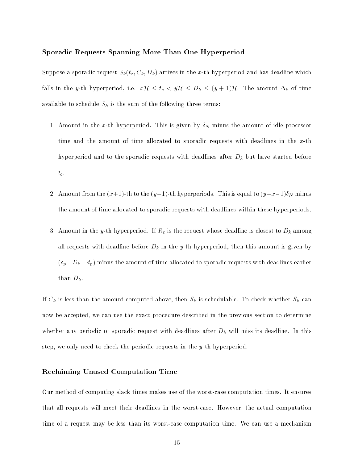#### Sporadic Requests Spanning More Than One Hyperperiod

Suppose a sporadic request  $S_k(t_c, C_k, D_k)$  arrives in the x-th hyperperiod and has deadline which falls in the y-th hyperperiod, i.e.  $xH \leq t_c < yH \leq D_k \leq (y+1)H$ . The amount  $\Delta_k$  of time available to schedule  $S_k$  is the sum of the following three terms:

- 1. Amount in the x-th hyperperiod. This is given by  $\delta_N$  minus the amount of idle processor time and the amount of time allocated to sporadic requests with deadlines in the  $x$ -th hyperperiod and to the sporadic requests with deadlines after  $D_k$  but have started before  $t_c$ .
- 2. Amount from the  $(x+1)$ -th to the  $(y-1)$ -th hyperperiods. This is equal to  $(y-x-1)\delta_N$  minus the amount of time allocated to sporadic requests with deadlines within these hyperperiods.
- 3. Amount in the y-th hyperperiod. If  $R_p$  is the request whose deadline is closest to  $D_k$  among all requests with deadline before  $D_k$  in the y-th hyperperiod, then this amount is given by  $(\delta_p+D_k-d_p)$  minus the amount of time allocated to sporadic requests with deadlines earlier than  $D_k$ .

If  $C_k$  is less than the amount computed above, then  $S_k$  is schedulable. To check whether  $S_k$  can now be accepted, we can use the exact procedure described in the previous section to determine whether any periodic or sporadic request with deadlines after  $D_k$  will miss its deadline. In this step, we only need to check the periodic requests in the y-th hyperperiod.

#### Reclaiming Unused Computation Time

Our method of computing slack times makes use of the worst-case computation times. It ensures that all requests will meet their deadlines in the worst-case. However, the actual computation time of a request may be less than its worst-case computation time. We can use a mechanism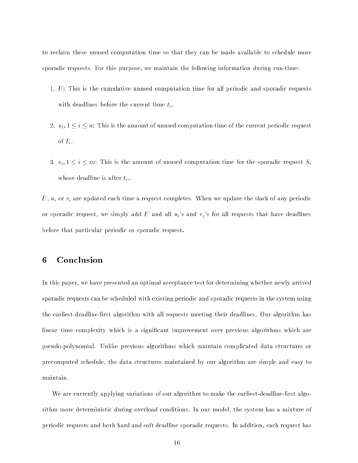to reclaim these unused computation time so that they can be made available to schedule more sporadic requests. For this purpose, we maintain the following information during run-time:

- 1. U: This is the cumulative unused computation time for all periodic and sporadic requests with deadlines before the current time  $t_c$ .
- 2.  $u_i, 1 \le i \le n$ : This is the amount of unused computation time of the current periodic request of  $T_i$ .
- 3.  $v_i, 1 \leq i \leq m$ : This is the amount of unused computation time for the sporadic request  $S_i$ whose deadline is after  $t_c$ .

 $U, u_i$  or  $v_i$  are updated each time a request completes. When we update the slack of any periodic or sporadic request, we simply add U and all  $u_i$ 's and  $v_j$ 's for all requests that have deadlines before that particular periodic or sporadic request.

## 6 Conclusion

In this paper, we have presented an optimal acceptance test for determining whether newly arrived sporadic requests can be scheduled with existing periodic and sporadic requests in the system using the earliest-deadline-first algorithm with all requests meeting their deadlines. Our algorithm has linear time complexity which is a signicant improvement over previous algorithms which are pseudo-polynomial. Unlike previous algorithms which maintain complicated data structures or precomputed schedule, the data structures maintained by our algorithm are simple and easy to maintain.

We are currently applying variations of our algorithm to make the earliest-deadline-first algorithm more deterministic during overload conditions. In our model, the system has a mixture of periodic requests and both hard and soft deadline sporadic requests. In addition, each request has